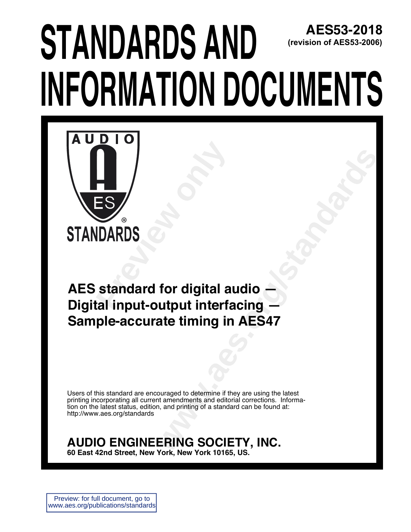# **JIANUARUS ANU S** SUPPLIES IN THE MUNITER AND MODERN AND MUNITER A SUBSEQUENCE IN THE SUPPLIES IN THE SUPPLIES IN THE SUBSTITUTION OF SUPPLIES IN THE SUBSTITUTION OF SUPPLIES IN THE SUBSTITUTION OF SUPPLIES **2018 (revision of AES53-2006)**



**For digital audio**<br> **with the discrete standards**<br> **where the standard and the standard corrections.**<br>
<br> **We cannot a standard can be latest**<br> **where Standard can be found at:**<br> **ERING SOCIETY, INC. AES standard for digital audio -Digital input-output interfacing + Sample-accurate timing in AES47** 

Users of this standard are encouraged to determine if they are using the latest printing incorporating all current amendments and editorial corrections. Information on the latest status, edition, and printing of a standard can be found at: http://www.aes.org/standards

### **AUDIO ENGINEERING SOCIETY, INC.**

60 East 42nd Street, New York, New York 10165, US.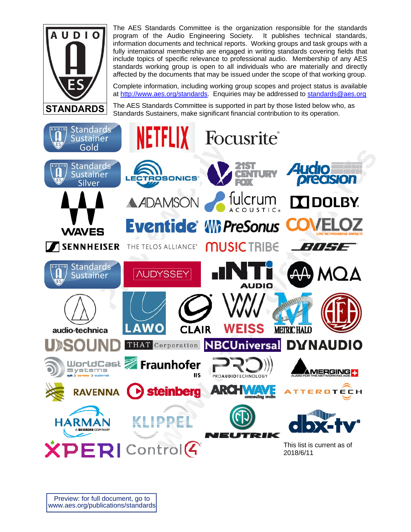

The AES Standards Committee is the organization responsible for the standards program of the Audio Engineering Society. It publishes technical standards, information documents and technical reports. Working groups and task groups with a fully international membership are engaged in writing standards covering fields that include topics of specific relevance to professional audio. Membership of any AES standards working group is open to all individuals who are materially and directly affected by the documents that may be issued under the scope of that working group.

Complete information, including working group scopes and project status is available at http://www.aes.org/standards. Enquiries may be addressed to standards@aes.org

The AES Standards Committee is supported in part by those listed below who, as Standards Sustainers, make significant financial contribution to its operation.

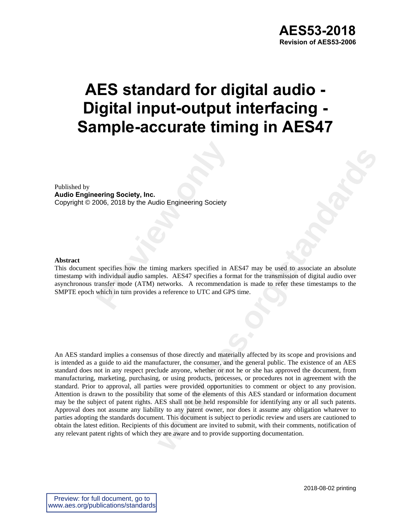## **AES standard for digital audio - Digital input-output interfacing - Sample-accurate timing in AES47**

Published by **Audio Engineering Society, Inc.**  Copyright © 2006, 2018 by the Audio Engineering Society

#### **Abstract**

**Property Society, Inc.**<br>
2006, 2018 by the Audio Engineering Society<br>
previews by the timing markers specified in A<br>
previews by the timing markers specified in A<br>
individual audio samples. AES47 specifies a form<br>
and the This document specifies how the timing markers specified in AES47 may be used to associate an absolute timestamp with individual audio samples. AES47 specifies a format for the transmission of digital audio over asynchronous transfer mode (ATM) networks. A recommendation is made to refer these timestamps to the SMPTE epoch which in turn provides a reference to UTC and GPS time.

**Hio Engineering Society**<br> **wing markers specified in AES47 may be used to associate an absolute<br>
belse. AES47 precifies a format for the transmission of digital audio over<br>
areference to UTC and GPS time.<br>
<b>areference to** An AES standard implies a consensus of those directly and materially affected by its scope and provisions and is intended as a guide to aid the manufacturer, the consumer, and the general public. The existence of an AES standard does not in any respect preclude anyone, whether or not he or she has approved the document, from manufacturing, marketing, purchasing, or using products, processes, or procedures not in agreement with the standard. Prior to approval, all parties were provided opportunities to comment or object to any provision. Attention is drawn to the possibility that some of the elements of this AES standard or information document may be the subject of patent rights. AES shall not be held responsible for identifying any or all such patents. Approval does not assume any liability to any patent owner, nor does it assume any obligation whatever to parties adopting the standards document. This document is subject to periodic review and users are cautioned to obtain the latest edition. Recipients of this document are invited to submit, with their comments, notification of any relevant patent rights of which they are aware and to provide supporting documentation.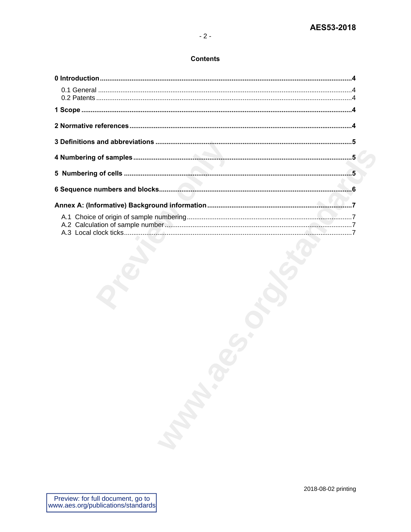### **Contents**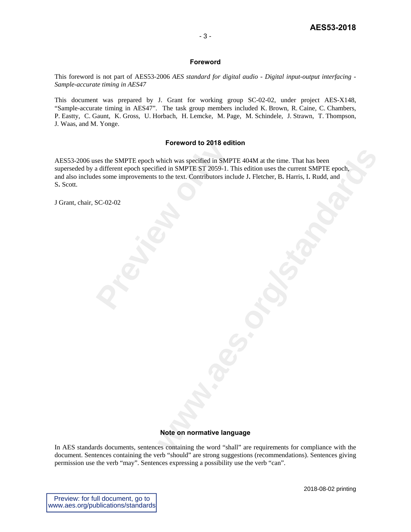#### **Foreword**

This foreword is not part of AES53-2006 *AES standard for digital audio - Digital input-output interfacing - Sample-accurate timing in AES47*

This document was prepared by J. Grant for working group SC-02-02, under project AES-X148, "Sample-accurate timing in AES47". The task group members included K. Brown, R. Caine, C. Chambers, P. Eastty, C. Gaunt, K. Gross, U. Horbach, H. Lemcke, M. Page, M. Schindele, J. Strawn, T. Thompson, J. Waas, and M. Yonge.

#### **Foreword to 2018 edition**

**Process the SMPTE epoch which was specified in SMPT<br>a different epoch specified in SMPTE ST 2059-1. T<br>es some improvements to the text. Contributors incl<br>SC-02-02** which was specified in SMPTE 404M at the time. That has been<br>eled in SMPTE ST 2059-1. This edition uses the current SMPTE epoch,<br>to the text. Contributors include J. Fletcher, B. Harris, I. Rudd, and<br>the text. Contributors AES53-2006 uses the SMPTE epoch which was specified in SMPTE 404M at the time. That has been superseded by a different epoch specified in SMPTE ST 2059-1. This edition uses the current SMPTE epoch, and also includes some improvements to the text. Contributors include J**.** Fletcher, B**.** Harris, I**.** Rudd, and S**.** Scott.

J Grant, chair, SC-02-02

#### **Note on normative language**

In AES standards documents, sentences containing the word "shall" are requirements for compliance with the document. Sentences containing the verb "should" are strong suggestions (recommendations). Sentences giving permission use the verb "may". Sentences expressing a possibility use the verb "can".